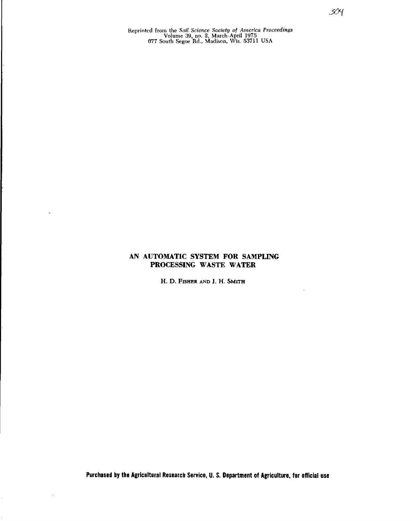Reprinted from the *Soil Science Society of America Proceedings* Volume 39, no. 2, March-April 1975 *877* South Segoe Rd., Madison, Wis. 53711 USA

# **AN AUTOMATIC SYSTEM FOR SAMPLING PROCESSING WASTE WATER**

H. D. FISHER AND J. H. SMITH

304

**Purchased by the Agricultural Research Service, U. S. Department of Agriculture, for official use**

l,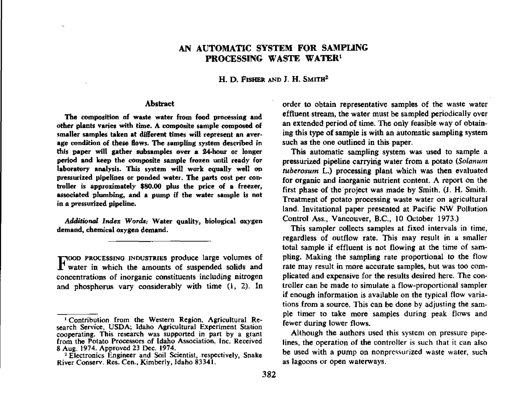## **AN AUTOMATIC SYSTEM FOR SAMPLING PROCESSING WASTE WATER'**

H. D. FISHER AND J. H. SMITH<sup>2</sup>

#### Abstract

The composition of waste water from food processing and other plants varies with time. A composite sample composed of smaller samples taken at different times will represent an average condition of these flows. The sampling system described in this paper will gather **subsamples over a** 24-hour or longer period and keep the composite sample frozen until ready for laboratory analysis. This system will work equally well on pressurized pipelines or ponded water. The parts cost per controller is approximately \$80.00 plus the price of a freezer, associated plumbing, and a pump if the water sample *is* not in a pressurized pipeline.

*Additional Index Words;* Water quality, biological oxygen demand, chemical oxygen demand.

rilOOD PROCESSING INDUSTRIES produce large volumes of  $\Gamma$  water in which the amounts of suspended solids and concentrations of inorganic constituents including nitrogen and phosphorus vary considerably with time (1, 2). In order to obtain representative samples of the waste water effluent stream, the water must be sampled periodically over an extended period of time. The only feasible way of obtaining this type of sample is with an automatic sampling system such as the one outlined in this paper.

This automatic sampling system was used to sample a pressurized pipeline carrying water from a potato *(Solarium tuberosum* L.) processing plant which was then evaluated for organic and inorganic nutrient content. A report on the first phase of the 'project was made by Smith, (J. H. Smith. Treatment of potato processing waste water on agricultural land. Invitational paper presented at Pacific NW Pollution Control Ass., Vancouver, B.C., 10 October 1973.)

This sampler collects samples at fixed intervals in time, regardless of outflow rate. This may result in a smaller total sample if effluent is not flowing at the time of sampling. Making the sampling rate proportional to the flow rate may result in more accurate samples, but was too complicated and expensive for the results desired here. The controller can be made to simulate a flow-proportional sampler if enough information is available on the typical flow variations from a source, This can be done by adjusting the sample timer to take more samples during peak flows and fewer during lower flows.

Although the authors used this system on pressure pipelines, the operation of the controller is such that it can also be used with a pump on nonpressurized waste water, such as lagoons or open waterways.

Contribution from the Western Region, Agricultural Research Service, USDA; Idaho Agricultural Experiment Station cooperating. This research was supported in part by a grant from the Potato Processors of Idaho Association, Inc. Received 8 Aug. 1974. Approved 23 Dec. 1974.

<sup>&</sup>lt;sup>2</sup> Electronics Engineer and Soil Scientist, respectively, Snake River Conserv. Res. Cen., Kimberly, Idaho 83341.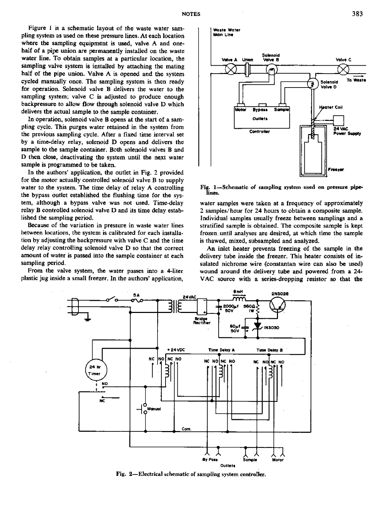Figure 1 is a schematic layout of the waste water sampling system as used on these pressure lines. At each location where the sampling equipment is used, valve A and onehalf of a pipe union are permanently installed on the waste water line. To obtain samples at a particular location, the sampling valve system is installed by attaching the mating half of the pipe union. Valve A is opened and the system cycled manually once. The sampling system is then ready for operation. Solenoid valve B delivers the water to the sampling system; valve C is adjusted to produce enough backpressure to allow flow through solenoid valve D which delivers the actual sample to the sample container.

In operation, solenoid valve B opens at the start of a sampling cycle. This purges water retained in the system from the previous sampling cycle. After a fixed time interval set by a time-delay relay, solenoid D opens and delivers the sample to the sample container. Both solenoid valves B and  $D$  then close, deactivating the system until the next water sample is programmed to be taken.

In the authors' application, the outlet in Fig. 2 provided for the motor actually controlled solenoid valve B to supply water to the system. The time delay of relay A controlling the bypass outlet established the flushing time for the system, although a bypass valve was not used. Time-delay relay B controlled solenoid valve D and its time delay established the sampling period.

Because of the variation in pressure in waste water lines between locations, the system is calibrated for each installation by adjusting the backpressure with valve C and the time delay relay controlling solenoid valve D so that the correct amount of water is passed into the sample container at each sampling period.

From the valve system, the water passes into a 4-liter plastic jug inside a small freezer. In the authors' application,



Fig. 1-Schematic of sampling system used on pressure pipelines.

water samples were taken at a frequency of approximately 2 samples/ hour for 24 hours to obtain a composite sample. Individual samples usually freeze between samplings and a stratified sample is obtained. The composite sample is kept frozen, until analyses are desired, at which time the sample is thawed, mixed, subsampled and analyzed.

An inlet heater prevents freezing of the sample in the delivery tube inside the freezer. This heater consists of insulated nichrome wire (constantan wire can also be used) wound around the delivery tube and powered from a 24- VAC source with a series-dropping resistor so that the



Fig. 2—Electrical schematic of sampling system controller.